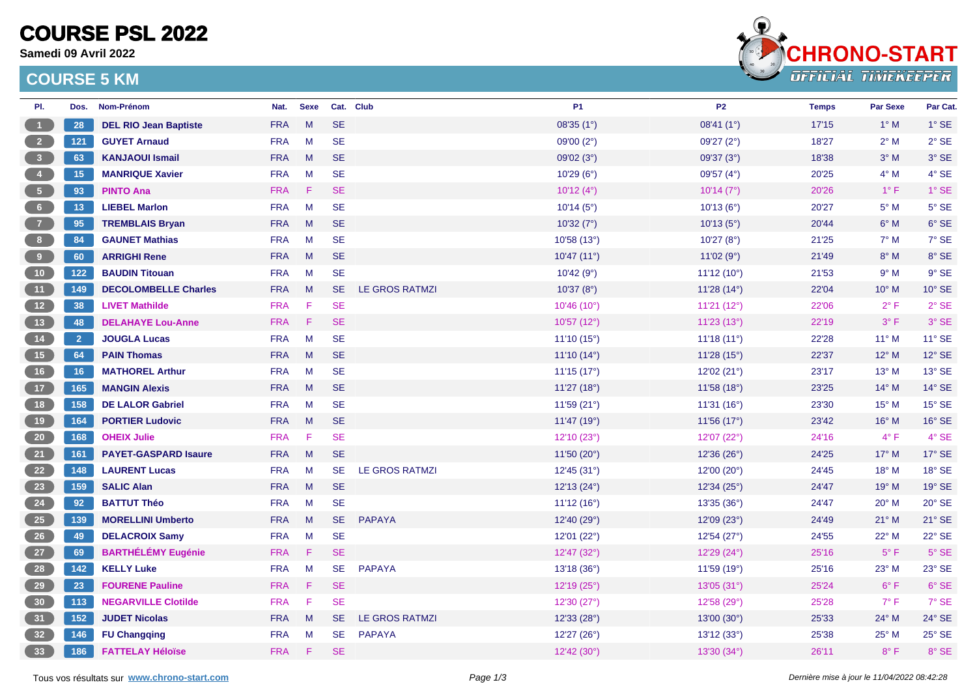# **COURSE PSL 2022**

**Samedi 09 Avril 2022**

### **COURSE 5 KM**



| PI.                     | Dos.           | Nom-Prénom                   | Nat.       | <b>Sexe</b> |           | Cat. Club             | <b>P1</b>    | <b>P2</b>           | <b>Temps</b> | <b>Par Sexe</b> | Par Cat.        |
|-------------------------|----------------|------------------------------|------------|-------------|-----------|-----------------------|--------------|---------------------|--------------|-----------------|-----------------|
| $\blacksquare$ 1        | 28             | <b>DEL RIO Jean Baptiste</b> | <b>FRA</b> | M           | <b>SE</b> |                       | 08'35 (1°)   | 08'41 (1°)          | 17'15        | $1^\circ$ M     | $1^\circ$ SE    |
| $\overline{\mathbf{2}}$ | $121$          | <b>GUYET Arnaud</b>          | <b>FRA</b> | M           | <b>SE</b> |                       | 09'00 $(2°)$ | 09'27 (2°)          | 18'27        | $2^{\circ}$ M   | $2°$ SE         |
| $\overline{\mathbf{3}}$ | 63             | <b>KANJAOUI Ismail</b>       | <b>FRA</b> | M           | <b>SE</b> |                       | 09'02 (3°)   | 09'37 (3°)          | 18'38        | $3^\circ$ M     | 3° SE           |
| $\overline{4}$          | 15             | <b>MANRIQUE Xavier</b>       | <b>FRA</b> | M           | <b>SE</b> |                       | 10'29(6°)    | 09'57 $(4^{\circ})$ | 20'25        | $4^\circ$ M     | $4°$ SE         |
| 5 <sub>5</sub>          | 93             | <b>PINTO Ana</b>             | <b>FRA</b> | F           | <b>SE</b> |                       | 10'12 (4°)   | 10'14(7°)           | 20'26        | $1^{\circ}$ F   | $1^\circ$ SE    |
| 6 <sub>1</sub>          | 13             | <b>LIEBEL Marlon</b>         | <b>FRA</b> | M           | <b>SE</b> |                       | 10'14(5°)    | 10'13(6°)           | 20'27        | $5^\circ$ M     | $5^\circ$ SE    |
| $\overline{7}$          | 95             | <b>TREMBLAIS Bryan</b>       | <b>FRA</b> | M           | <b>SE</b> |                       | 10'32(7°)    | 10'13(5°)           | 20'44        | $6^\circ$ M     | $6°$ SE         |
| 8 <sup>1</sup>          | 84             | <b>GAUNET Mathias</b>        | <b>FRA</b> | M           | <b>SE</b> |                       | 10'58 (13°)  | 10'27(8°)           | 21'25        | $7^\circ$ M     | 7° SE           |
| 9 <sub>o</sub>          | 60             | <b>ARRIGHI Rene</b>          | <b>FRA</b> | M           | <b>SE</b> |                       | 10'47(11°)   | 11'02(9°)           | 21'49        | $8^\circ$ M     | 8° SE           |
| 10 <sup>7</sup>         | $122$          | <b>BAUDIN Titouan</b>        | <b>FRA</b> | M           | <b>SE</b> |                       | 10'42(9°)    | 11'12(10°)          | 21'53        | $9^\circ$ M     | $9°$ SE         |
| (11)                    | 149            | <b>DECOLOMBELLE Charles</b>  | <b>FRA</b> | M           | <b>SE</b> | LE GROS RATMZI        | 10'37(8°)    | 11'28(14°)          | 22'04        | $10^{\circ}$ M  | 10° SE          |
| (12)                    | 38             | <b>LIVET Mathilde</b>        | <b>FRA</b> | F           | <b>SE</b> |                       | 10'46 (10°)  | 11'21 (12°)         | 22'06        | $2^{\circ}$ F   | $2°$ SE         |
| 13                      | 48             | <b>DELAHAYE Lou-Anne</b>     | <b>FRA</b> | $\mathsf F$ | <b>SE</b> |                       | 10'57 (12°)  | 11'23 (13°)         | 22'19        | $3^{\circ}$ F   | 3° SE           |
| (14)                    | $\overline{2}$ | <b>JOUGLA Lucas</b>          | <b>FRA</b> | M           | <b>SE</b> |                       | 11'10(15°)   | 11'18(11°)          | 22'28        | $11^{\circ}$ M  | 11° SE          |
| (15)                    | 64             | <b>PAIN Thomas</b>           | <b>FRA</b> | M           | <b>SE</b> |                       | 11'10(14°)   | 11'28(15°)          | 22'37        | $12^{\circ}$ M  | $12^{\circ}$ SE |
| 16                      | 16             | <b>MATHOREL Arthur</b>       | <b>FRA</b> | M           | <b>SE</b> |                       | 11'15(17°)   | 12'02 (21°)         | 23'17        | $13^{\circ}$ M  | 13° SE          |
| (17)                    | 165            | <b>MANGIN Alexis</b>         | <b>FRA</b> | M           | <b>SE</b> |                       | 11'27 (18°)  | 11'58 (18°)         | 23'25        | $14^{\circ}$ M  | $14^{\circ}$ SE |
| 18                      | 158            | <b>DE LALOR Gabriel</b>      | <b>FRA</b> | M           | <b>SE</b> |                       | 11'59 (21°)  | 11'31 (16°)         | 23'30        | $15^{\circ}$ M  | 15° SE          |
| 19                      | 164            | <b>PORTIER Ludovic</b>       | <b>FRA</b> | M           | <b>SE</b> |                       | 11'47 (19°)  | 11'56 (17°)         | 23'42        | $16^{\circ}$ M  | 16° SE          |
| 20                      | 168            | <b>OHEIX Julie</b>           | <b>FRA</b> | $-F$        | <b>SE</b> |                       | 12'10 (23°)  | 12'07 (22°)         | 24'16        | $4^{\circ}$ F   | $4°$ SE         |
| 21                      | 161            | <b>PAYET-GASPARD Isaure</b>  | <b>FRA</b> | M           | <b>SE</b> |                       | 11'50(20°)   | 12'36(26°)          | 24'25        | $17^\circ$ M    | 17° SE          |
| 22                      | 148            | <b>LAURENT Lucas</b>         | <b>FRA</b> | M           | <b>SE</b> | <b>LE GROS RATMZI</b> | 12'45(31°)   | 12'00(20°)          | 24'45        | $18^{\circ}$ M  | 18° SE          |
| 23                      | 159            | <b>SALIC Alan</b>            | <b>FRA</b> | M           | <b>SE</b> |                       | 12'13 (24°)  | 12'34(25°)          | 24'47        | $19°$ M         | $19°$ SE        |
| 24                      | 92             | <b>BATTUT Théo</b>           | <b>FRA</b> | M           | <b>SE</b> |                       | 11'12(16°)   | 13'35 (36°)         | 24'47        | $20^\circ$ M    | $20^\circ$ SE   |
| 25                      | 139            | <b>MORELLINI Umberto</b>     | <b>FRA</b> | M           | <b>SE</b> | <b>PAPAYA</b>         | 12'40 (29°)  | 12'09 (23°)         | 24'49        | $21^{\circ}$ M  | 21° SE          |
| 26                      | 49             | <b>DELACROIX Samy</b>        | <b>FRA</b> | M           | <b>SE</b> |                       | 12'01 (22°)  | 12'54 (27°)         | 24'55        | 22° M           | 22° SE          |
| 27                      | 69             | <b>BARTHÉLÉMY Eugénie</b>    | <b>FRA</b> | F           | <b>SE</b> |                       | 12'47 (32°)  | 12'29 (24°)         | 25'16        | $5^{\circ}$ F   | $5^\circ$ SE    |
| 28                      | 142            | <b>KELLY Luke</b>            | <b>FRA</b> | M           | <b>SE</b> | <b>PAPAYA</b>         | 13'18 (36°)  | 11'59 (19°)         | 25'16        | $23^{\circ}$ M  | 23° SE          |
| 29                      | 23             | <b>FOURENE Pauline</b>       | <b>FRA</b> | F           | <b>SE</b> |                       | 12'19 (25°)  | 13'05 (31°)         | 25'24        | $6^{\circ}$ F   | 6° SE           |
| 30 <sup>°</sup>         | 113            | <b>NEGARVILLE Clotilde</b>   | <b>FRA</b> | F           | <b>SE</b> |                       | 12'30 (27°)  | 12'58 (29°)         | 25'28        | $7^\circ$ F     | 7° SE           |
| 31                      | 152            | <b>JUDET Nicolas</b>         | <b>FRA</b> | M           | <b>SE</b> | LE GROS RATMZI        | 12'33 (28°)  | 13'00 (30°)         | 25'33        | $24^{\circ}$ M  | 24° SE          |
| 32                      | 146            | <b>FU Changqing</b>          | <b>FRA</b> | M           | <b>SE</b> | <b>PAPAYA</b>         | 12'27 (26°)  | 13'12 (33°)         | 25'38        | $25^{\circ}$ M  | 25° SE          |
| 33                      | 186            | <b>FATTELAY Héloïse</b>      | <b>FRA</b> | F           | <b>SE</b> |                       | 12'42 (30°)  | 13'30(34°)          | 26'11        | $8^{\circ}$ F   | 8° SE           |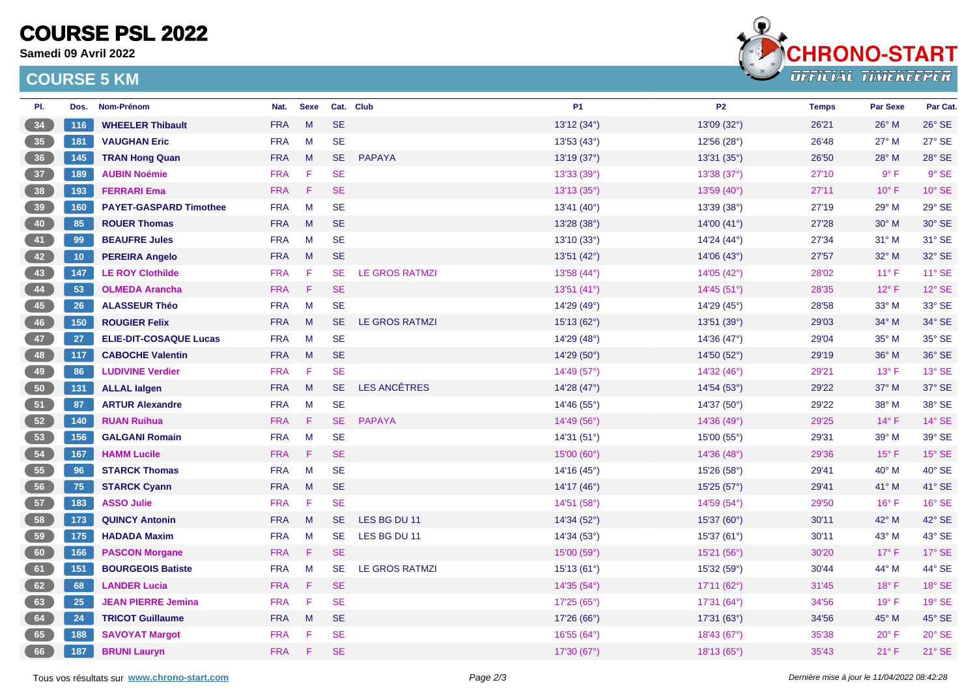# **COURSE PSL 2022**

**Samedi 09 Avril 2022**

### **COURSE 5 KM**



| PI. | Dos. | Nom-Prénom                    | Nat.       | <b>Sexe</b> |           | Cat. Club             | <b>P1</b>              | <b>P2</b>            | <b>Temps</b> | <b>Par Sexe</b> | Par Cat.      |
|-----|------|-------------------------------|------------|-------------|-----------|-----------------------|------------------------|----------------------|--------------|-----------------|---------------|
| 34  | 116  | <b>WHEELER Thibault</b>       | <b>FRA</b> | M           | <b>SE</b> |                       | 13'12 (34°)            | 13'09 (32°)          | 26'21        | 26° M           | $26^\circ$ SE |
| 35  | 181  | <b>VAUGHAN Eric</b>           | <b>FRA</b> | M           | <b>SE</b> |                       | 13'53 (43°)            | 12'56 (28°)          | 26'48        | $27^\circ$ M    | $27^\circ$ SE |
| 36  | 145  | <b>TRAN Hong Quan</b>         | <b>FRA</b> | M           | <b>SE</b> | <b>PAPAYA</b>         | 13'19 (37°)            | 13'31(35°)           | 26'50        | $28^\circ$ M    | 28° SE        |
| 37  | 189  | <b>AUBIN Noémie</b>           | <b>FRA</b> | - F         | <b>SE</b> |                       | 13'33 (39°)            | 13'38 (37°)          | 27'10        | $9^{\circ}$ F   | 9° SE         |
| 38  | 193  | <b>FERRARI Ema</b>            | <b>FRA</b> | F           | <b>SE</b> |                       | 13'13 (35°)            | 13'59 (40°)          | 27'11        | $10^{\circ}$ F  | 10° SE        |
| 39  | 160  | <b>PAYET-GASPARD Timothee</b> | <b>FRA</b> | M           | <b>SE</b> |                       | 13'41 (40°)            | 13'39 (38°)          | 27'19        | 29° M           | 29° SE        |
| 40  | 85   | <b>ROUER Thomas</b>           | <b>FRA</b> | M           | <b>SE</b> |                       | 13'28(38°)             | 14'00 $(41^{\circ})$ | 27'28        | $30^\circ$ M    | 30° SE        |
| 41  | 99   | <b>BEAUFRE Jules</b>          | <b>FRA</b> | M           | <b>SE</b> |                       | 13'10 (33°)            | 14'24 (44°)          | 27'34        | $31°$ M         | 31° SE        |
| 42  | 10   | <b>PEREIRA Angelo</b>         | <b>FRA</b> | <b>M</b>    | <b>SE</b> |                       | 13'51(42°)             | 14'06(43°)           | 27'57        | $32^{\circ}$ M  | 32° SE        |
| 43  | 147  | <b>LE ROY Clothilde</b>       | <b>FRA</b> | -F          | <b>SE</b> | <b>LE GROS RATMZI</b> | 13'58(44°)             | 14'05(42°)           | 28'02        | $11^{\circ}$ F  | $11^\circ$ SE |
| 44  | 53   | <b>OLMEDA Arancha</b>         | <b>FRA</b> | $\mathsf F$ | <b>SE</b> |                       | 13'51 (41°)            | 14'45 (51°)          | 28'35        | $12^{\circ}$ F  | 12° SE        |
| 45  | 26   | <b>ALASSEUR Théo</b>          | <b>FRA</b> | M           | <b>SE</b> |                       | 14'29 (49°)            | 14'29 (45°)          | 28'58        | 33° M           | 33° SE        |
| 46  | 150  | <b>ROUGIER Felix</b>          | <b>FRA</b> | M           | <b>SE</b> | LE GROS RATMZI        | 15'13 (62°)            | 13'51 (39°)          | 29'03        | 34° M           | 34° SE        |
| 47  | 27   | <b>ELIE-DIT-COSAQUE Lucas</b> | <b>FRA</b> | M           | <b>SE</b> |                       | 14'29 (48°)            | 14'36 (47°)          | 29'04        | 35° M           | 35° SE        |
| 48  | 117  | <b>CABOCHE Valentin</b>       | <b>FRA</b> | M           | <b>SE</b> |                       | 14'29(50°)             | 14'50(52°)           | 29'19        | 36° M           | 36° SE        |
| 49  | 86   | <b>LUDIVINE Verdier</b>       | <b>FRA</b> | F           | <b>SE</b> |                       | 14'49 (57°)            | 14'32(46°)           | 29'21        | $13^{\circ}$ F  | 13° SE        |
| 50  | 131  | <b>ALLAL lalgen</b>           | <b>FRA</b> | M           | <b>SE</b> | <b>LES ANCÊTRES</b>   | 14'28 (47 $^{\circ}$ ) | 14'54 (53°)          | 29'22        | 37° M           | 37° SE        |
| 51  | 87   | <b>ARTUR Alexandre</b>        | <b>FRA</b> | M           | <b>SE</b> |                       | 14'46 (55°)            | 14'37 (50°)          | 29'22        | $38^\circ$ M    | 38° SE        |
| 52  | 140  | <b>RUAN Ruihua</b>            | <b>FRA</b> | -F          | <b>SE</b> | <b>PAPAYA</b>         | 14'49 (56°)            | 14'36 (49°)          | 29'25        | 14°F            | 14° SE        |
| 53  | 156  | <b>GALGANI Romain</b>         | <b>FRA</b> | M           | <b>SE</b> |                       | 14'31 (51°)            | 15'00 (55°)          | 29'31        | 39° M           | 39° SE        |
| 54  | 167  | <b>HAMM Lucile</b>            | <b>FRA</b> | F           | <b>SE</b> |                       | 15'00(60°)             | 14'36 (48°)          | 29'36        | $15^{\circ}$ F  | $15^\circ$ SE |
| 55  | 96   | <b>STARCK Thomas</b>          | <b>FRA</b> | M           | <b>SE</b> |                       | 14'16(45°)             | 15'26(58°)           | 29'41        | 40° M           | 40° SE        |
| 56  | 75   | <b>STARCK Cyann</b>           | <b>FRA</b> | M           | <b>SE</b> |                       | 14'17 $(46^{\circ})$   | 15'25 (57°)          | 29'41        | 41° M           | 41° SE        |
| 57  | 183  | <b>ASSO Julie</b>             | <b>FRA</b> | -F          | <b>SE</b> |                       | 14'51 (58°)            | 14'59 (54°)          | 29'50        | $16^{\circ}$ F  | 16° SE        |
| 58  | 173  | <b>QUINCY Antonin</b>         | <b>FRA</b> | M           | <b>SE</b> | LES BG DU 11          | 14'34 (52°)            | 15'37 (60°)          | 30'11        | $42^{\circ}$ M  | 42° SE        |
| 59  | 175  | <b>HADADA Maxim</b>           | <b>FRA</b> | M           | <b>SE</b> | LES BG DU 11          | 14'34(53°)             | 15'37 (61°)          | 30'11        | 43° M           | 43° SE        |
| 60  | 166  | <b>PASCON Morgane</b>         | <b>FRA</b> | F           | <b>SE</b> |                       | 15'00 (59°)            | 15'21 (56°)          | 30'20        | $17^{\circ}$ F  | 17° SE        |
| 61  | 151  | <b>BOURGEOIS Batiste</b>      | <b>FRA</b> | M           | <b>SE</b> | <b>LE GROS RATMZI</b> | 15'13 (61°)            | 15'32 (59°)          | 30'44        | 44° M           | 44° SE        |
| 62  | 68   | <b>LANDER Lucia</b>           | <b>FRA</b> | $-F$        | <b>SE</b> |                       | 14'35(54°)             | 17'11(62°)           | 31'45        | $18^{\circ}$ F  | 18° SE        |
| 63  | 25   | <b>JEAN PIERRE Jemina</b>     | <b>FRA</b> | - F         | <b>SE</b> |                       | 17'25 (65°)            | 17'31 (64°)          | 34'56        | $19°$ F         | 19° SE        |
| 64  | 24   | <b>TRICOT Guillaume</b>       | <b>FRA</b> | M           | <b>SE</b> |                       | 17'26(66°)             | 17'31(63°)           | 34'56        | 45° M           | 45° SE        |
| 65  | 188  | <b>SAVOYAT Margot</b>         | <b>FRA</b> | F           | <b>SE</b> |                       | 16'55(64°)             | 18'43(67°)           | 35'38        | $20^{\circ}$ F  | $20^\circ$ SE |
| 66  | 187  | <b>BRUNI Lauryn</b>           | <b>FRA</b> | F           | <b>SE</b> |                       | 17'30 (67°)            | 18'13(65°)           | 35'43        | $21^{\circ}$ F  | 21° SE        |